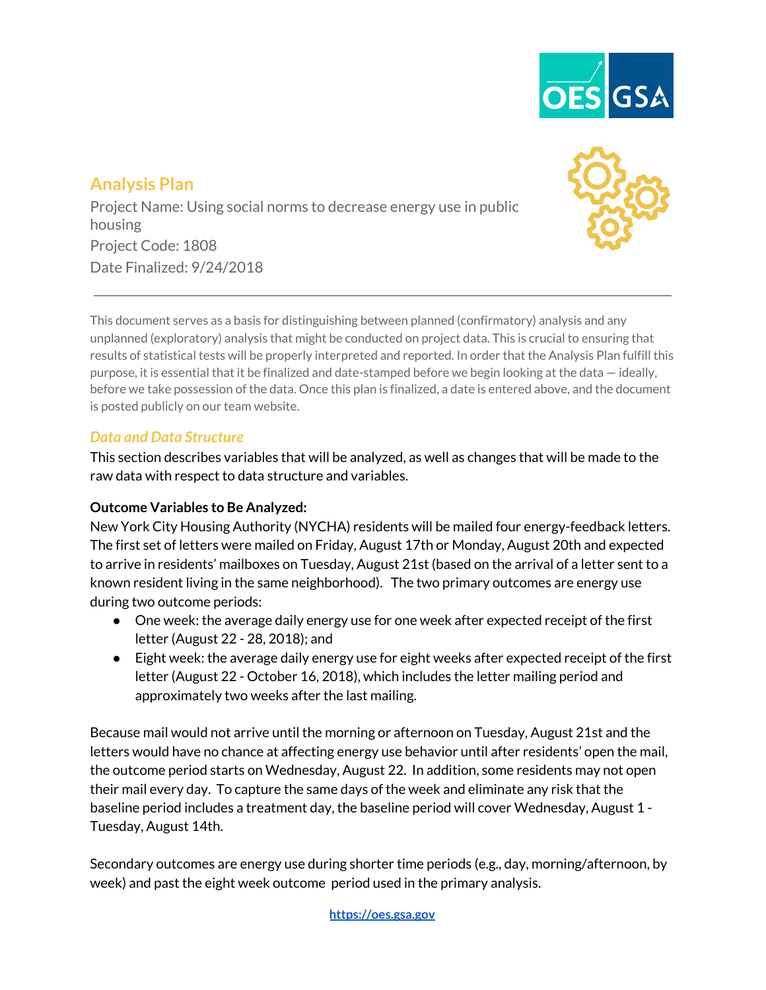

# **Analysis Plan**

Project Name: Using social norms to decrease energy use in public housing Project Code: 1808 Date Finalized: 9/24/2018



This document serves as a basis for distinguishing between planned (confirmatory) analysis and any unplanned (exploratory) analysis that might be conducted on project data. This is crucial to ensuring that results of statistical tests will be properly interpreted and reported. In order that the Analysis Plan fulfill this purpose, it is essential that it be finalized and date-stamped before we begin looking at the data — ideally, before we take possession of the data. Once this plan is finalized, a date is entered above, and the document is posted publicly on our team website.

#### *Data and Data Structure*

This section describes variables that will be analyzed, as well as changes that will be made to the raw data with respect to data structure and variables.

#### **Outcome Variables to Be Analyzed:**

New York City Housing Authority (NYCHA) residents will be mailed four energy-feedback letters. The first set of letters were mailed on Friday, August 17th or Monday, August 20th and expected to arrive in residents' mailboxes on Tuesday, August 21st (based on the arrival of a letter sent to a known resident living in the same neighborhood). The two primary outcomes are energy use during two outcome periods:

- One week: the average daily energy use for one week after expected receipt of the first letter (August 22 - 28, 2018); and
- Eight week: the average daily energy use for eight weeks after expected receipt of the first letter (August 22 - October 16, 2018), which includes the letter mailing period and approximately two weeks after the last mailing.

Because mail would not arrive until the morning or afternoon on Tuesday, August 21st and the letters would have no chance at affecting energy use behavior until after residents' open the mail, the outcome period starts on Wednesday, August 22. In addition, some residents may not open their mail every day. To capture the same days of the week and eliminate any risk that the baseline period includes a treatment day, the baseline period will cover Wednesday, August 1 - Tuesday, August 14th.

Secondary outcomes are energy use during shorter time periods (e.g., day, morning/afternoon, by week) and past the eight week outcome period used in the primary analysis.

**[https://oes.gsa.gov](https://oes.gsa.gov/)**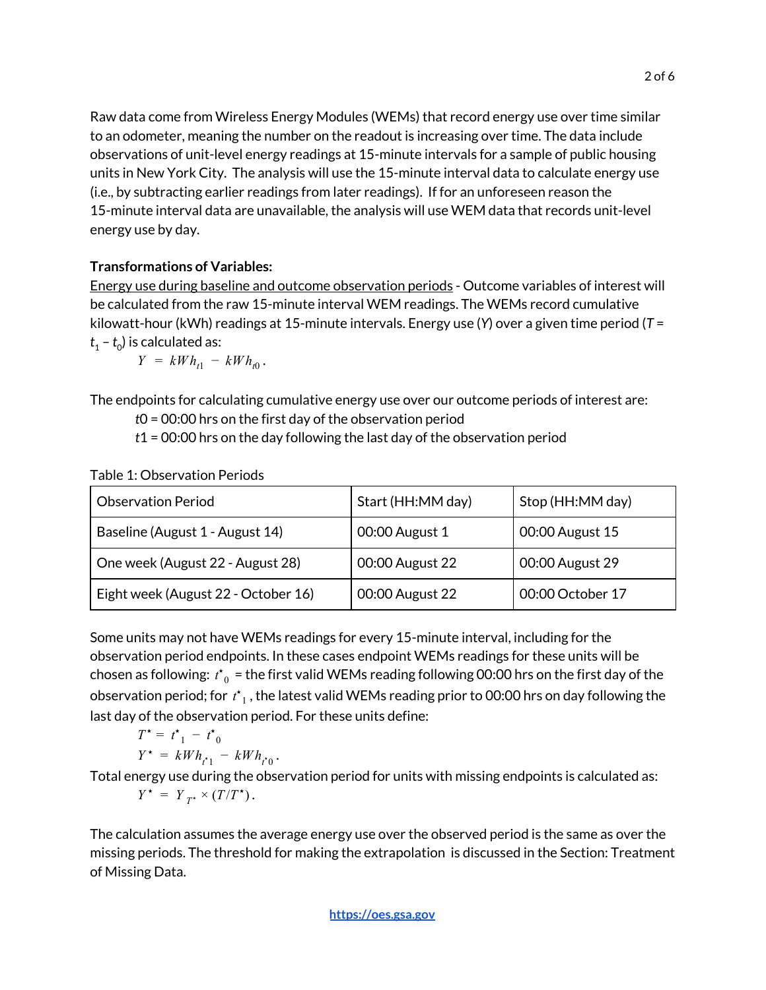Raw data come from Wireless Energy Modules (WEMs) that record energy use over time similar to an odometer, meaning the number on the readout is increasing over time. The data include observations of unit-level energy readings at 15-minute intervals for a sample of public housing units in New York City. The analysis will use the 15-minute interval data to calculate energy use (i.e., by subtracting earlier readings from later readings). If for an unforeseen reason the 15-minute interval data are unavailable, the analysis will use WEM data that records unit-level energy use by day.

#### **Transformations of Variables:**

Energy use during baseline and outcome observation periods - Outcome variables of interest will be calculated from the raw 15-minute interval WEM readings. The WEMs record cumulative kilowatt-hour (kWh) readings at 15-minute intervals. Energy use (*Y*) over a given time period (*T* =  $t_{1}$  –  $t_{0}$ ) is calculated as:

 $Y = kWh_{t1} - kWh_{t0}.$ 

The endpoints for calculating cumulative energy use over our outcome periods of interest are:

*t*0 = 00:00 hrs on the first day of the observation period

*t*1 = 00:00 hrs on the day following the last day of the observation period

Table 1: Observation Periods

| <b>Observation Period</b>           | Start (HH:MM day) | Stop (HH:MM day) |
|-------------------------------------|-------------------|------------------|
| Baseline (August 1 - August 14)     | 00:00 August 1    | 00:00 August 15  |
| One week (August 22 - August 28)    | 00:00 August 22   | 00:00 August 29  |
| Eight week (August 22 - October 16) | 00:00 August 22   | 00:00 October 17 |

Some units may not have WEMs readings for every 15-minute interval, including for the observation period endpoints. In these cases endpoint WEMs readings for these units will be chosen as following:  $\,t^{\star}_{\;0}\,$  = the first valid WEMs reading following 00:00 hrs on the first day of the observation period; for  $\,t^{\star}_{\,\,1}$  , the latest valid WEMs reading prior to 00:00 hrs on day following the last day of the observation period. For these units define:

$$
T^* = t^*_{1} - t^*_{0}
$$
  

$$
Y^* = kWh_{t^*1} - kWh_{t^*0}.
$$

Total energy use during the observation period for units with missing endpoints is calculated as:  $Y^{\star} = Y_{T^{\star}} \times (T/T^{\star}).$ 

The calculation assumes the average energy use over the observed period is the same as over the missing periods. The threshold for making the extrapolation is discussed in the Section: Treatment of Missing Data.

**[https://oes.gsa.gov](https://oes.gsa.gov/)**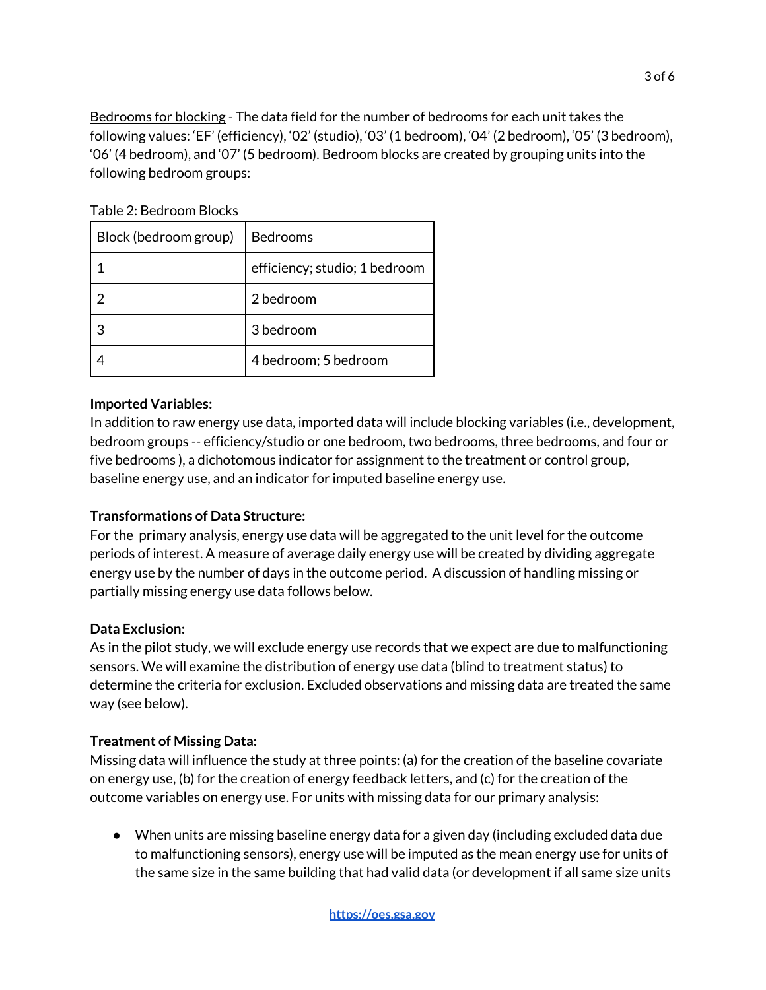Bedrooms for blocking - The data field for the number of bedrooms for each unit takes the following values: 'EF' (efficiency), '02' (studio), '03' (1 bedroom), '04' (2 bedroom), '05' (3 bedroom), '06' (4 bedroom), and '07' (5 bedroom). Bedroom blocks are created by grouping units into the following bedroom groups:

| Block (bedroom group) | Bedrooms                      |  |
|-----------------------|-------------------------------|--|
|                       | efficiency; studio; 1 bedroom |  |
|                       | 2 bedroom                     |  |
|                       | 3 bedroom                     |  |
|                       | 4 bedroom; 5 bedroom          |  |

Table 2: Bedroom Blocks

#### **Imported Variables:**

In addition to raw energy use data, imported data will include blocking variables (i.e., development, bedroom groups -- efficiency/studio or one bedroom, two bedrooms, three bedrooms, and four or five bedrooms ), a dichotomous indicator for assignment to the treatment or control group, baseline energy use, and an indicator for imputed baseline energy use.

## **Transformations of Data Structure:**

For the primary analysis, energy use data will be aggregated to the unit level for the outcome periods of interest. A measure of average daily energy use will be created by dividing aggregate energy use by the number of days in the outcome period. A discussion of handling missing or partially missing energy use data follows below.

## **Data Exclusion:**

As in the pilot study, we will exclude energy use records that we expect are due to malfunctioning sensors. We will examine the distribution of energy use data (blind to treatment status) to determine the criteria for exclusion. Excluded observations and missing data are treated the same way (see below).

#### **Treatment of Missing Data:**

Missing data will influence the study at three points: (a) for the creation of the baseline covariate on energy use, (b) for the creation of energy feedback letters, and (c) for the creation of the outcome variables on energy use. For units with missing data for our primary analysis:

● When units are missing baseline energy data for a given day (including excluded data due to malfunctioning sensors), energy use will be imputed as the mean energy use for units of the same size in the same building that had valid data (or development if all same size units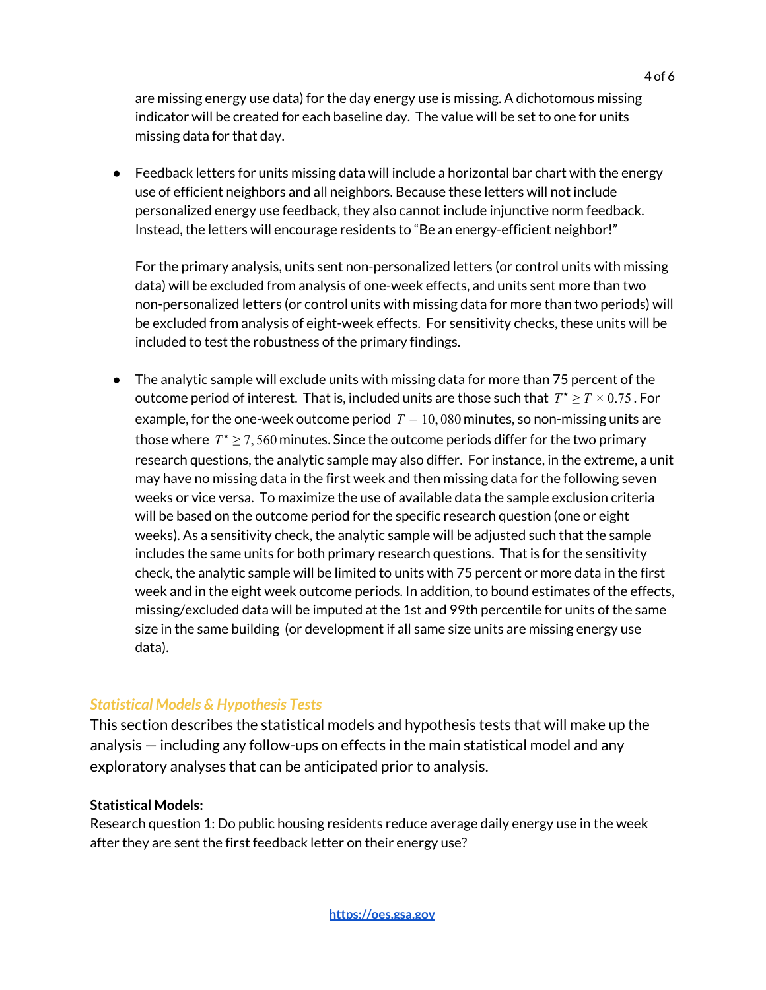are missing energy use data) for the day energy use is missing. A dichotomous missing indicator will be created for each baseline day. The value will be set to one for units missing data for that day.

 $\bullet$  Feedback letters for units missing data will include a horizontal bar chart with the energy use of efficient neighbors and all neighbors. Because these letters will not include personalized energy use feedback, they also cannot include injunctive norm feedback. Instead, the letters will encourage residents to "Be an energy-efficient neighbor!"

For the primary analysis, units sent non-personalized letters (or control units with missing data) will be excluded from analysis of one-week effects, and units sent more than two non-personalized letters (or control units with missing data for more than two periods) will be excluded from analysis of eight-week effects. For sensitivity checks, these units will be included to test the robustness of the primary findings.

● The analytic sample will exclude units with missing data for more than 75 percent of the outcome period of interest. That is, included units are those such that  $T^{\star} \geq T \times 0.75$  . For example, for the one-week outcome period  $T = 10,080$  minutes, so non-missing units are those where  $T^* \geq 7,560$  minutes. Since the outcome periods differ for the two primary research questions, the analytic sample may also differ. For instance, in the extreme, a unit may have no missing data in the first week and then missing data for the following seven weeks or vice versa. To maximize the use of available data the sample exclusion criteria will be based on the outcome period for the specific research question (one or eight weeks). As a sensitivity check, the analytic sample will be adjusted such that the sample includes the same units for both primary research questions. That is for the sensitivity check, the analytic sample will be limited to units with 75 percent or more data in the first week and in the eight week outcome periods. In addition, to bound estimates of the effects, missing/excluded data will be imputed at the 1st and 99th percentile for units of the same size in the same building (or development if all same size units are missing energy use data).

## *Statistical Models & Hypothesis Tests*

This section describes the statistical models and hypothesis tests that will make up the analysis — including any follow-ups on effects in the main statistical model and any exploratory analyses that can be anticipated prior to analysis.

#### **Statistical Models:**

Research question 1: Do public housing residents reduce average daily energy use in the week after they are sent the first feedback letter on their energy use?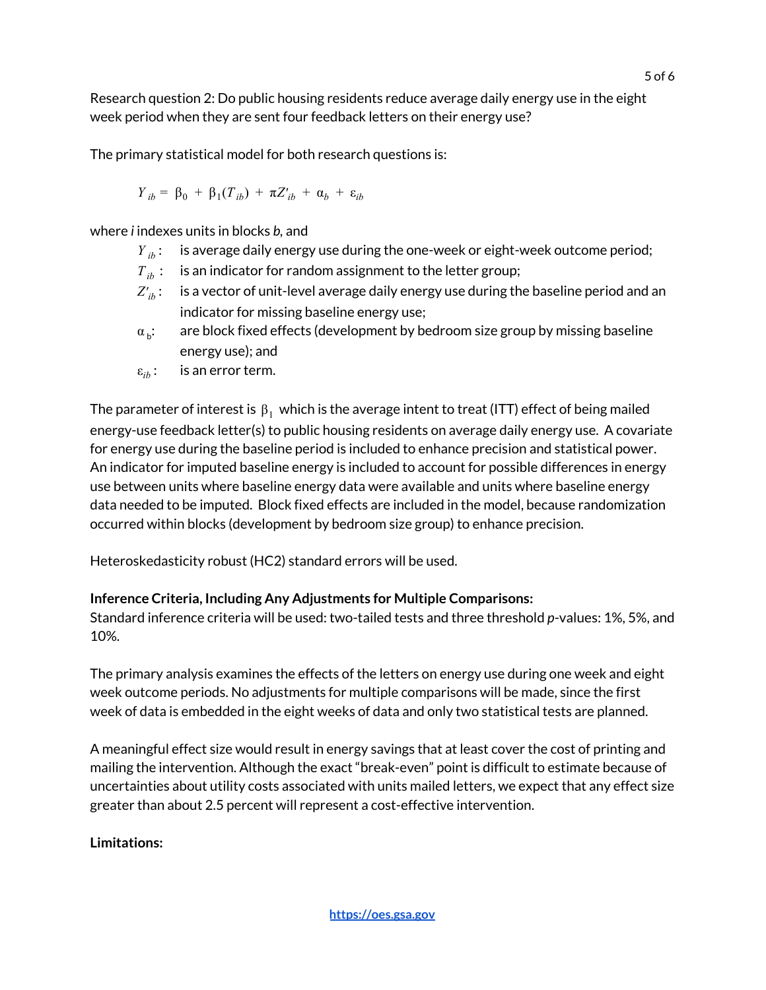Research question 2: Do public housing residents reduce average daily energy use in the eight week period when they are sent four feedback letters on their energy use?

The primary statistical model for both research questions is:

$$
Y_{ib} = \beta_0 + \beta_1(T_{ib}) + \pi Z_{ib}' + \alpha_b + \varepsilon_{ib}
$$

where *i* indexes units in blocks *b,* and

- *Y* : *ib* is average daily energy use during the one-week or eight-week outcome period;
- $T_{ib}$ : is an indicator for random assignment to the letter group;
- $Z'_{ib}$ : is a vector of unit-level average daily energy use during the baseline period and an indicator for missing baseline energy use;
- $\alpha_{\rm b}$ : are block fixed effects (development by bedroom size group by missing baseline energy use); and
- $\varepsilon_{ib}$ : is an error term.

The parameter of interest is  $\beta_1$  which is the average intent to treat (ITT) effect of being mailed energy-use feedback letter(s) to public housing residents on average daily energy use. A covariate for energy use during the baseline period is included to enhance precision and statistical power. An indicator for imputed baseline energy is included to account for possible differences in energy use between units where baseline energy data were available and units where baseline energy data needed to be imputed. Block fixed effects are included in the model, because randomization occurred within blocks (development by bedroom size group) to enhance precision.

Heteroskedasticity robust (HC2) standard errors will be used.

# **Inference Criteria, Including Any Adjustments for Multiple Comparisons:**

Standard inference criteria will be used: two-tailed tests and three threshold *p*-values: 1%, 5%, and 10%.

The primary analysis examines the effects of the letters on energy use during one week and eight week outcome periods. No adjustments for multiple comparisons will be made, since the first week of data is embedded in the eight weeks of data and only two statistical tests are planned.

A meaningful effect size would result in energy savings that at least cover the cost of printing and mailing the intervention. Although the exact "break-even" point is difficult to estimate because of uncertainties about utility costs associated with units mailed letters, we expect that any effect size greater than about 2.5 percent will represent a cost-effective intervention.

# **Limitations:**